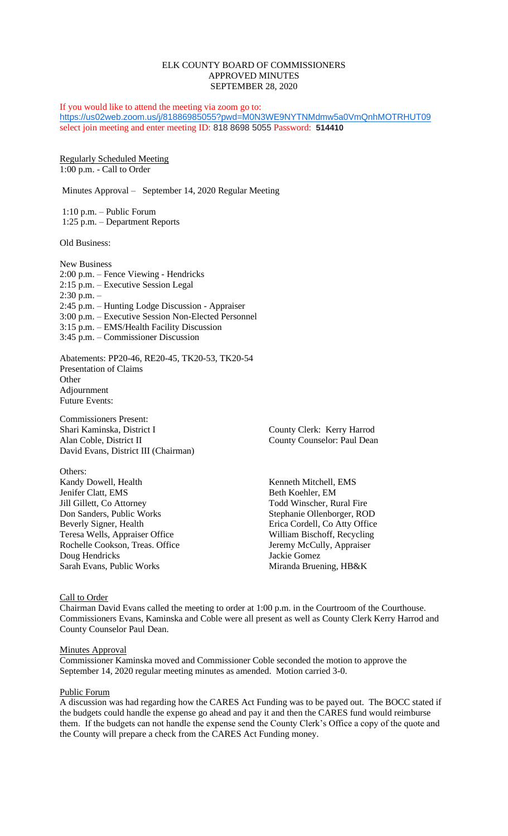### ELK COUNTY BOARD OF COMMISSIONERS APPROVED MINUTES SEPTEMBER 28, 2020

If you would like to attend the meeting via zoom go to: <https://us02web.zoom.us/j/81886985055?pwd=M0N3WE9NYTNMdmw5a0VmQnhMOTRHUT09> select join meeting and enter meeting ID: 818 8698 5055 Password: **514410**

Regularly Scheduled Meeting 1:00 p.m. - Call to Order

Minutes Approval – September 14, 2020 Regular Meeting

1:10 p.m. – Public Forum 1:25 p.m. – Department Reports

Old Business:

New Business 2:00 p.m. – Fence Viewing - Hendricks 2:15 p.m. – Executive Session Legal 2:30 p.m. – 2:45 p.m. – Hunting Lodge Discussion - Appraiser 3:00 p.m. – Executive Session Non-Elected Personnel 3:15 p.m. – EMS/Health Facility Discussion 3:45 p.m. – Commissioner Discussion

Abatements: PP20-46, RE20-45, TK20-53, TK20-54 Presentation of Claims **Other** Adjournment Future Events:

Commissioners Present: Shari Kaminska, District I County Clerk: Kerry Harrod Alan Coble, District II County Counselor: Paul Dean David Evans, District III (Chairman)

Others: Kandy Dowell, Health Kenneth Mitchell, EMS Jenifer Clatt, EMS<br>
Jill Gillett, Co Attorney<br>
Todd Winscher, Ru Don Sanders, Public Works Stephanie Ollenborger, ROD Beverly Signer, Health **Erica Cordell, Co Atty Office** Teresa Wells, Appraiser Office William Bischoff, Recycling Rochelle Cookson, Treas. Office Jeremy McCully, Appraiser<br>
Doug Hendricks Jackie Gomez Doug Hendricks Sarah Evans, Public Works Miranda Bruening, HB&K

Todd Winscher, Rural Fire

Call to Order

Chairman David Evans called the meeting to order at 1:00 p.m. in the Courtroom of the Courthouse. Commissioners Evans, Kaminska and Coble were all present as well as County Clerk Kerry Harrod and County Counselor Paul Dean.

#### Minutes Approval

Commissioner Kaminska moved and Commissioner Coble seconded the motion to approve the September 14, 2020 regular meeting minutes as amended. Motion carried 3-0.

#### Public Forum

A discussion was had regarding how the CARES Act Funding was to be payed out. The BOCC stated if the budgets could handle the expense go ahead and pay it and then the CARES fund would reimburse them. If the budgets can not handle the expense send the County Clerk's Office a copy of the quote and the County will prepare a check from the CARES Act Funding money.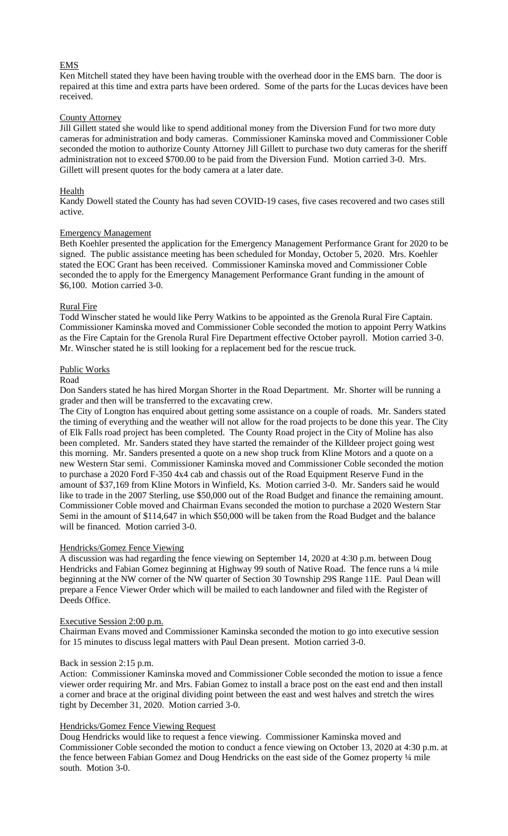# EMS

Ken Mitchell stated they have been having trouble with the overhead door in the EMS barn. The door is repaired at this time and extra parts have been ordered. Some of the parts for the Lucas devices have been received.

### County Attorney

Jill Gillett stated she would like to spend additional money from the Diversion Fund for two more duty cameras for administration and body cameras. Commissioner Kaminska moved and Commissioner Coble seconded the motion to authorize County Attorney Jill Gillett to purchase two duty cameras for the sheriff administration not to exceed \$700.00 to be paid from the Diversion Fund. Motion carried 3-0. Mrs. Gillett will present quotes for the body camera at a later date.

### **Health**

Kandy Dowell stated the County has had seven COVID-19 cases, five cases recovered and two cases still active.

### Emergency Management

Beth Koehler presented the application for the Emergency Management Performance Grant for 2020 to be signed. The public assistance meeting has been scheduled for Monday, October 5, 2020. Mrs. Koehler stated the EOC Grant has been received. Commissioner Kaminska moved and Commissioner Coble seconded the to apply for the Emergency Management Performance Grant funding in the amount of \$6,100. Motion carried 3-0.

### Rural Fire

Todd Winscher stated he would like Perry Watkins to be appointed as the Grenola Rural Fire Captain. Commissioner Kaminska moved and Commissioner Coble seconded the motion to appoint Perry Watkins as the Fire Captain for the Grenola Rural Fire Department effective October payroll. Motion carried 3-0. Mr. Winscher stated he is still looking for a replacement bed for the rescue truck.

### Public Works

#### Road

Don Sanders stated he has hired Morgan Shorter in the Road Department. Mr. Shorter will be running a grader and then will be transferred to the excavating crew.

The City of Longton has enquired about getting some assistance on a couple of roads. Mr. Sanders stated the timing of everything and the weather will not allow for the road projects to be done this year. The City of Elk Falls road project has been completed. The County Road project in the City of Moline has also been completed. Mr. Sanders stated they have started the remainder of the Killdeer project going west this morning. Mr. Sanders presented a quote on a new shop truck from Kline Motors and a quote on a new Western Star semi. Commissioner Kaminska moved and Commissioner Coble seconded the motion to purchase a 2020 Ford F-350 4x4 cab and chassis out of the Road Equipment Reserve Fund in the amount of \$37,169 from Kline Motors in Winfield, Ks. Motion carried 3-0. Mr. Sanders said he would like to trade in the 2007 Sterling, use \$50,000 out of the Road Budget and finance the remaining amount. Commissioner Coble moved and Chairman Evans seconded the motion to purchase a 2020 Western Star Semi in the amount of \$114,647 in which \$50,000 will be taken from the Road Budget and the balance will be financed. Motion carried 3-0.

#### Hendricks/Gomez Fence Viewing

A discussion was had regarding the fence viewing on September 14, 2020 at 4:30 p.m. between Doug Hendricks and Fabian Gomez beginning at Highway 99 south of Native Road. The fence runs a ¼ mile beginning at the NW corner of the NW quarter of Section 30 Township 29S Range 11E. Paul Dean will prepare a Fence Viewer Order which will be mailed to each landowner and filed with the Register of Deeds Office.

#### Executive Session 2:00 p.m.

Chairman Evans moved and Commissioner Kaminska seconded the motion to go into executive session for 15 minutes to discuss legal matters with Paul Dean present. Motion carried 3-0.

#### Back in session 2:15 p.m.

Action: Commissioner Kaminska moved and Commissioner Coble seconded the motion to issue a fence viewer order requiring Mr. and Mrs. Fabian Gomez to install a brace post on the east end and then install a corner and brace at the original dividing point between the east and west halves and stretch the wires tight by December 31, 2020. Motion carried 3-0.

#### Hendricks/Gomez Fence Viewing Request

Doug Hendricks would like to request a fence viewing. Commissioner Kaminska moved and Commissioner Coble seconded the motion to conduct a fence viewing on October 13, 2020 at 4:30 p.m. at the fence between Fabian Gomez and Doug Hendricks on the east side of the Gomez property ¼ mile south. Motion 3-0.